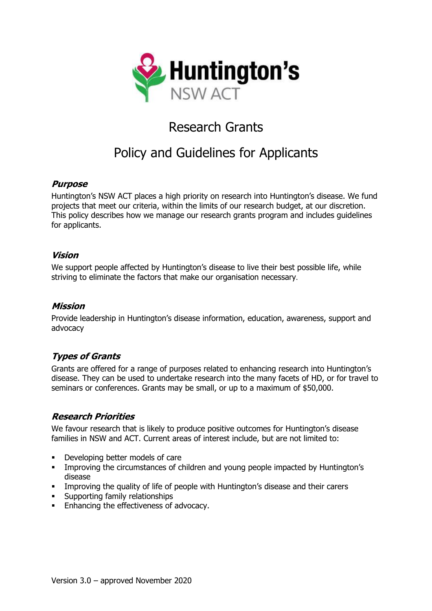

# Research Grants

# Policy and Guidelines for Applicants

#### **Purpose**

Huntington's NSW ACT places a high priority on research into Huntington's disease. We fund projects that meet our criteria, within the limits of our research budget, at our discretion. This policy describes how we manage our research grants program and includes guidelines for applicants.

#### **Vision**

We support people affected by Huntington's disease to live their best possible life, while striving to eliminate the factors that make our organisation necessary.

#### **Mission**

Provide leadership in Huntington's disease information, education, awareness, support and advocacy

### **Types of Grants**

Grants are offered for a range of purposes related to enhancing research into Huntington's disease. They can be used to undertake research into the many facets of HD, or for travel to seminars or conferences. Grants may be small, or up to a maximum of \$50,000.

#### **Research Priorities**

We favour research that is likely to produce positive outcomes for Huntington's disease families in NSW and ACT. Current areas of interest include, but are not limited to:

- Developing better models of care
- **•** Improving the circumstances of children and young people impacted by Huntington's disease
- **•** Improving the quality of life of people with Huntington's disease and their carers
- **•** Supporting family relationships
- Enhancing the effectiveness of advocacy.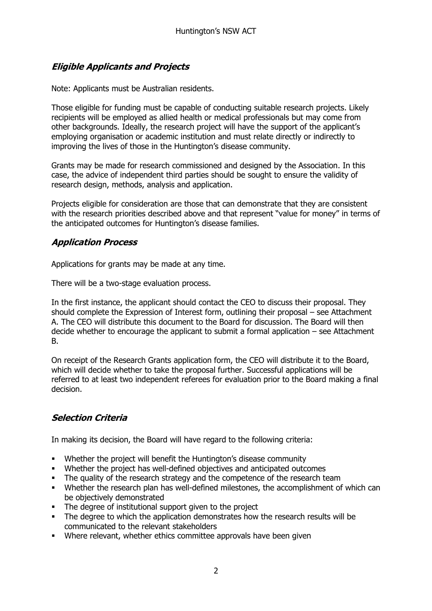# **Eligible Applicants and Projects**

Note: Applicants must be Australian residents.

Those eligible for funding must be capable of conducting suitable research projects. Likely recipients will be employed as allied health or medical professionals but may come from other backgrounds. Ideally, the research project will have the support of the applicant's employing organisation or academic institution and must relate directly or indirectly to improving the lives of those in the Huntington's disease community.

Grants may be made for research commissioned and designed by the Association. In this case, the advice of independent third parties should be sought to ensure the validity of research design, methods, analysis and application.

Projects eligible for consideration are those that can demonstrate that they are consistent with the research priorities described above and that represent "value for money" in terms of the anticipated outcomes for Huntington's disease families.

### **Application Process**

Applications for grants may be made at any time.

There will be a two-stage evaluation process.

In the first instance, the applicant should contact the CEO to discuss their proposal. They should complete the Expression of Interest form, outlining their proposal – see Attachment A. The CEO will distribute this document to the Board for discussion. The Board will then decide whether to encourage the applicant to submit a formal application – see Attachment B.

On receipt of the Research Grants application form, the CEO will distribute it to the Board, which will decide whether to take the proposal further. Successful applications will be referred to at least two independent referees for evaluation prior to the Board making a final decision.

### **Selection Criteria**

In making its decision, the Board will have regard to the following criteria:

- Whether the project will benefit the Huntington's disease community
- Whether the project has well-defined objectives and anticipated outcomes
- **•** The quality of the research strategy and the competence of the research team
- Whether the research plan has well-defined milestones, the accomplishment of which can be objectively demonstrated
- The degree of institutional support given to the project
- **•** The degree to which the application demonstrates how the research results will be communicated to the relevant stakeholders
- Where relevant, whether ethics committee approvals have been given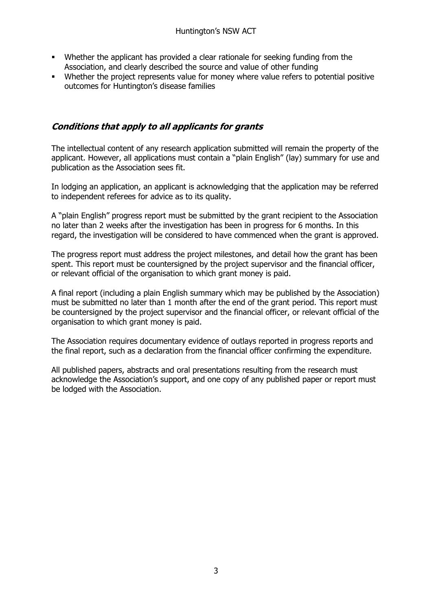- Whether the applicant has provided a clear rationale for seeking funding from the Association, and clearly described the source and value of other funding
- Whether the project represents value for money where value refers to potential positive outcomes for Huntington's disease families

### **Conditions that apply to all applicants for grants**

The intellectual content of any research application submitted will remain the property of the applicant. However, all applications must contain a "plain English" (lay) summary for use and publication as the Association sees fit.

In lodging an application, an applicant is acknowledging that the application may be referred to independent referees for advice as to its quality.

A "plain English" progress report must be submitted by the grant recipient to the Association no later than 2 weeks after the investigation has been in progress for 6 months. In this regard, the investigation will be considered to have commenced when the grant is approved.

The progress report must address the project milestones, and detail how the grant has been spent. This report must be countersigned by the project supervisor and the financial officer, or relevant official of the organisation to which grant money is paid.

A final report (including a plain English summary which may be published by the Association) must be submitted no later than 1 month after the end of the grant period. This report must be countersigned by the project supervisor and the financial officer, or relevant official of the organisation to which grant money is paid.

The Association requires documentary evidence of outlays reported in progress reports and the final report, such as a declaration from the financial officer confirming the expenditure.

All published papers, abstracts and oral presentations resulting from the research must acknowledge the Association's support, and one copy of any published paper or report must be lodged with the Association.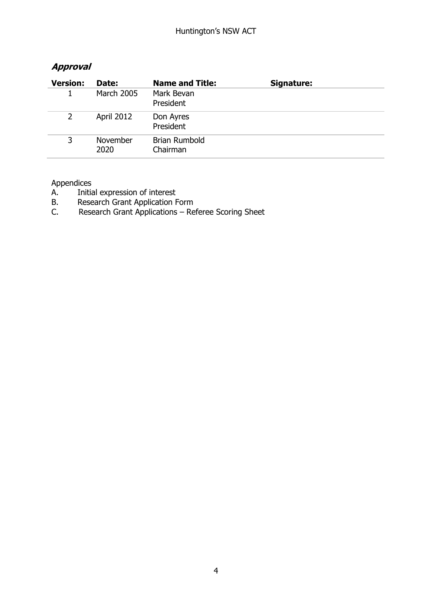| <b>Version:</b> | Date:             | <b>Name and Title:</b>           | Signature: |
|-----------------|-------------------|----------------------------------|------------|
|                 | <b>March 2005</b> | Mark Bevan<br>President          |            |
| $\mathbf{2}$    | April 2012        | Don Ayres<br>President           |            |
| 3               | November<br>2020  | <b>Brian Rumbold</b><br>Chairman |            |

### **Approval**

Appendices

- A. Initial expression of interest
- B. Research Grant Application Form<br>C. Research Grant Applications Res
- Research Grant Applications Referee Scoring Sheet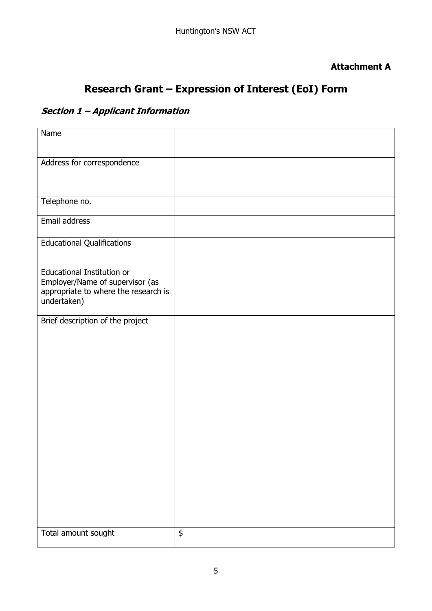### **Attachment A**

# **Research Grant – Expression of Interest (EoI) Form**

# **Section 1 – Applicant Information**

| Name                                                                                                                        |    |
|-----------------------------------------------------------------------------------------------------------------------------|----|
| Address for correspondence                                                                                                  |    |
| Telephone no.                                                                                                               |    |
| Email address                                                                                                               |    |
| <b>Educational Qualifications</b>                                                                                           |    |
| <b>Educational Institution or</b><br>Employer/Name of supervisor (as<br>appropriate to where the research is<br>undertaken) |    |
| Brief description of the project                                                                                            |    |
| Total amount sought                                                                                                         | \$ |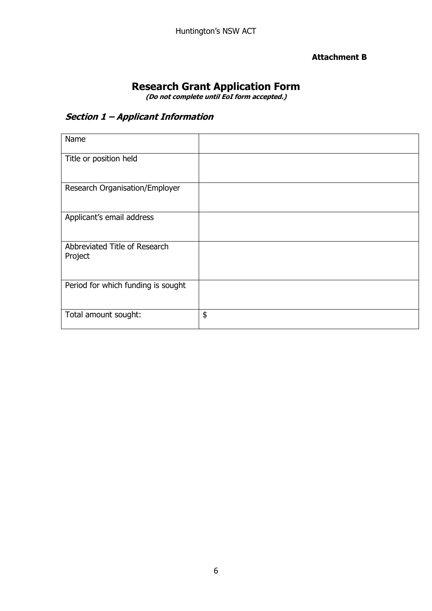#### **Attachment B**

# **Research Grant Application Form**

**(Do not complete until EoI form accepted.)**

# **Section 1 – Applicant Information**

| Name                                     |    |
|------------------------------------------|----|
| Title or position held                   |    |
| Research Organisation/Employer           |    |
| Applicant's email address                |    |
| Abbreviated Title of Research<br>Project |    |
| Period for which funding is sought       |    |
| Total amount sought:                     | \$ |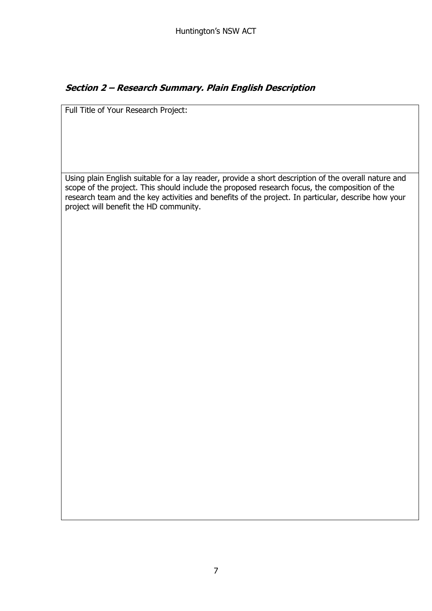## **Section 2 – Research Summary. Plain English Description**

Full Title of Your Research Project:

Using plain English suitable for a lay reader, provide a short description of the overall nature and scope of the project. This should include the proposed research focus, the composition of the research team and the key activities and benefits of the project. In particular, describe how your project will benefit the HD community.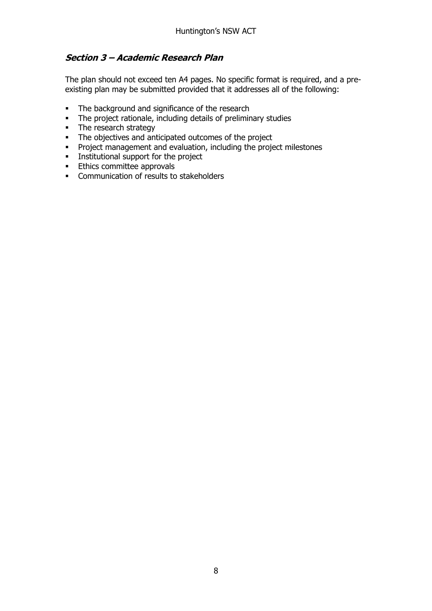### **Section 3 – Academic Research Plan**

The plan should not exceed ten A4 pages. No specific format is required, and a preexisting plan may be submitted provided that it addresses all of the following:

- **•** The background and significance of the research
- The project rationale, including details of preliminary studies
- **•** The research strategy
- **•** The objectives and anticipated outcomes of the project
- Project management and evaluation, including the project milestones
- **■** Institutional support for the project
- **Ethics committee approvals**
- **•** Communication of results to stakeholders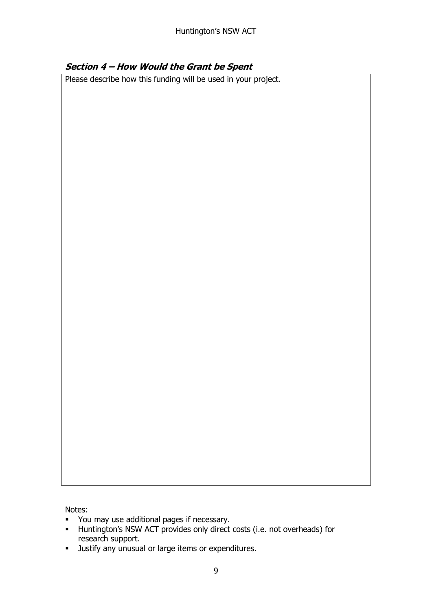### **Section 4 – How Would the Grant be Spent**

Please describe how this funding will be used in your project.

Notes:

- You may use additional pages if necessary.
- Huntington's NSW ACT provides only direct costs (i.e. not overheads) for research support.
- **■** Justify any unusual or large items or expenditures.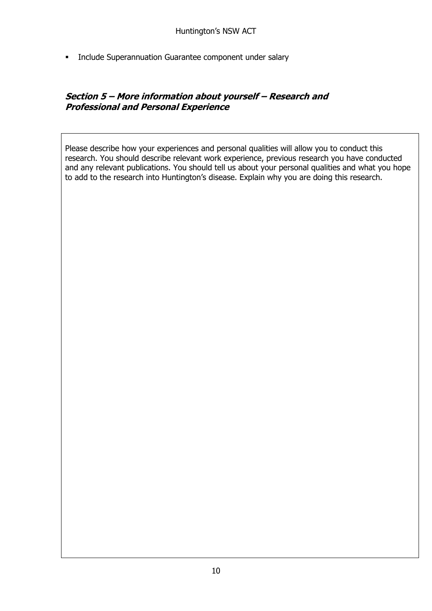**•** Include Superannuation Guarantee component under salary

### **Section 5 – More information about yourself – Research and Professional and Personal Experience**

Please describe how your experiences and personal qualities will allow you to conduct this research. You should describe relevant work experience, previous research you have conducted and any relevant publications. You should tell us about your personal qualities and what you hope to add to the research into Huntington's disease. Explain why you are doing this research.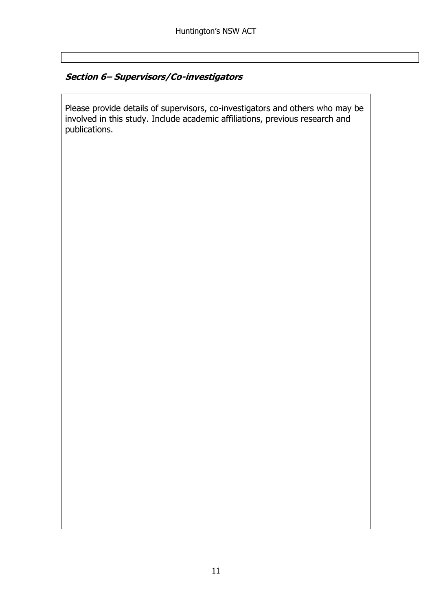## **Section 6– Supervisors/Co-investigators**

Please provide details of supervisors, co-investigators and others who may be involved in this study. Include academic affiliations, previous research and publications.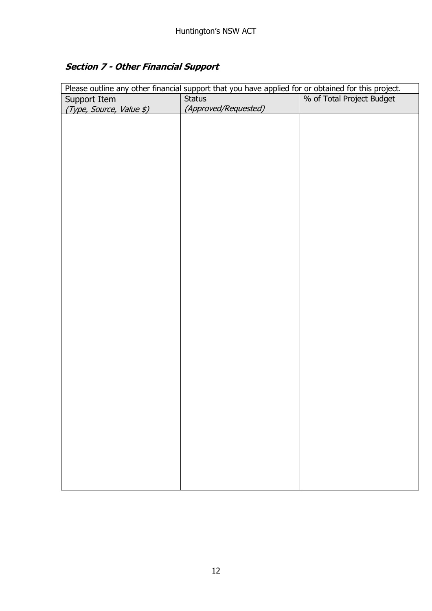# **Section 7 - Other Financial Support**

| Please outline any other financial support that you have applied for or obtained for this project.<br>% of Total Project Budget<br>Support Item<br><b>Status</b><br>(Approved/Requested)<br>(Type, Source, Value \$) |
|----------------------------------------------------------------------------------------------------------------------------------------------------------------------------------------------------------------------|
|                                                                                                                                                                                                                      |
|                                                                                                                                                                                                                      |
|                                                                                                                                                                                                                      |
|                                                                                                                                                                                                                      |
|                                                                                                                                                                                                                      |
|                                                                                                                                                                                                                      |
|                                                                                                                                                                                                                      |
|                                                                                                                                                                                                                      |
|                                                                                                                                                                                                                      |
|                                                                                                                                                                                                                      |
|                                                                                                                                                                                                                      |
|                                                                                                                                                                                                                      |
|                                                                                                                                                                                                                      |
|                                                                                                                                                                                                                      |
|                                                                                                                                                                                                                      |
|                                                                                                                                                                                                                      |
|                                                                                                                                                                                                                      |
|                                                                                                                                                                                                                      |
|                                                                                                                                                                                                                      |
|                                                                                                                                                                                                                      |
|                                                                                                                                                                                                                      |
|                                                                                                                                                                                                                      |
|                                                                                                                                                                                                                      |
|                                                                                                                                                                                                                      |
|                                                                                                                                                                                                                      |
|                                                                                                                                                                                                                      |
|                                                                                                                                                                                                                      |
|                                                                                                                                                                                                                      |
|                                                                                                                                                                                                                      |
|                                                                                                                                                                                                                      |
|                                                                                                                                                                                                                      |
|                                                                                                                                                                                                                      |
|                                                                                                                                                                                                                      |
|                                                                                                                                                                                                                      |
|                                                                                                                                                                                                                      |
|                                                                                                                                                                                                                      |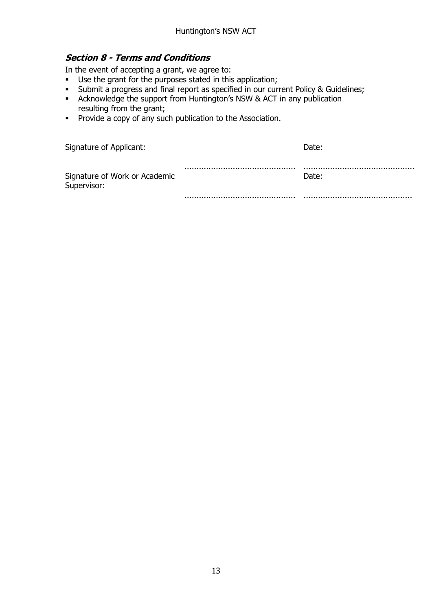### **Section 8 - Terms and Conditions**

In the event of accepting a grant, we agree to:

- Use the grant for the purposes stated in this application;
- Submit a progress and final report as specified in our current Policy & Guidelines;
- Acknowledge the support from Huntington's NSW & ACT in any publication resulting from the grant;
- Provide a copy of any such publication to the Association.

| Signature of Applicant:                      | Date: |
|----------------------------------------------|-------|
| Signature of Work or Academic<br>Supervisor: | Date: |
|                                              |       |